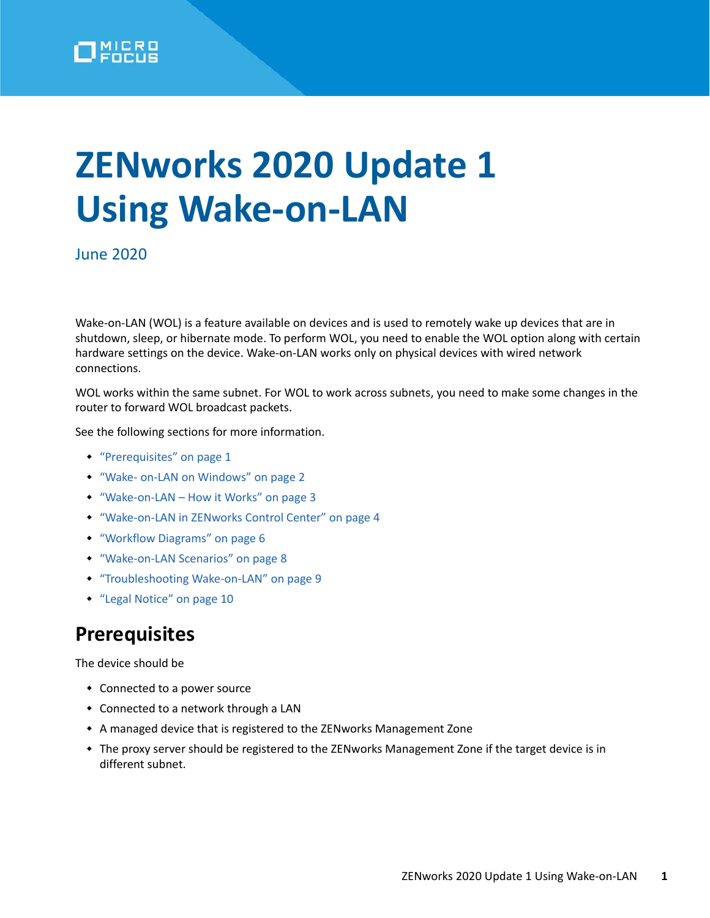

# **ZENworks 2020 Update 1 Using Wake-on-LAN**

June 2020

Wake-on-LAN (WOL) is a feature available on devices and is used to remotely wake up devices that are in shutdown, sleep, or hibernate mode. To perform WOL, you need to enable the WOL option along with certain hardware settings on the device. Wake-on-LAN works only on physical devices with wired network connections.

WOL works within the same subnet. For WOL to work across subnets, you need to make some changes in the router to forward WOL broadcast packets.

See the following sections for more information.

- ["Prerequisites" on page 1](#page-0-0)
- ["Wake- on-LAN on Windows" on page 2](#page-1-0)
- ["Wake-on-LAN How it Works" on page 3](#page-2-0)
- ["Wake-on-LAN in ZENworks Control Center" on page 4](#page-3-0)
- ["Workflow Diagrams" on page 6](#page-5-0)
- ["Wake-on-LAN Scenarios" on page 8](#page-7-0)
- ["Troubleshooting Wake-on-LAN" on page 9](#page-8-0)
- ["Legal Notice" on page 10](#page-9-0)

## <span id="page-0-0"></span>**Prerequisites**

The device should be

- Connected to a power source
- Connected to a network through a LAN
- A managed device that is registered to the ZENworks Management Zone
- The proxy server should be registered to the ZENworks Management Zone if the target device is in different subnet.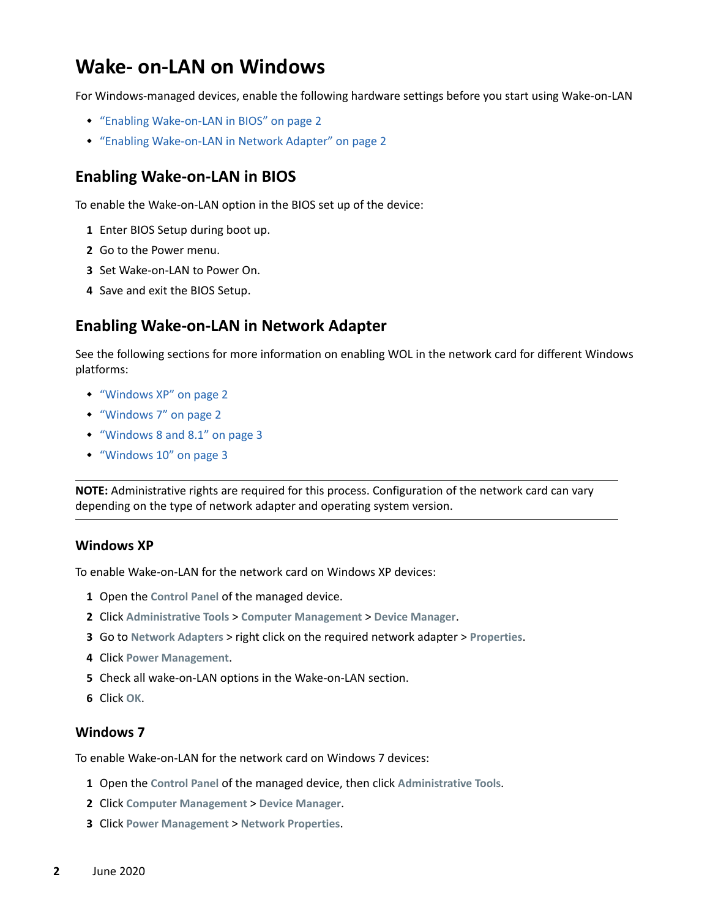## <span id="page-1-0"></span>**Wake- on-LAN on Windows**

For Windows-managed devices, enable the following hardware settings before you start using Wake-on-LAN

- ["Enabling Wake-on-LAN in BIOS" on page 2](#page-1-1)
- ["Enabling Wake-on-LAN in Network Adapter" on page 2](#page-1-2)

#### <span id="page-1-1"></span>**Enabling Wake-on-LAN in BIOS**

To enable the Wake-on-LAN option in the BIOS set up of the device:

- **1** Enter BIOS Setup during boot up.
- **2** Go to the Power menu.
- **3** Set Wake-on-LAN to Power On.
- **4** Save and exit the BIOS Setup.

#### <span id="page-1-2"></span>**Enabling Wake-on-LAN in Network Adapter**

See the following sections for more information on enabling WOL in the network card for different Windows platforms:

- ["Windows XP" on page 2](#page-1-3)
- ["Windows 7" on page 2](#page-1-4)
- ["Windows 8 and 8.1" on page 3](#page-2-1)
- ["Windows 10" on page 3](#page-2-2)

**NOTE:** Administrative rights are required for this process. Configuration of the network card can vary depending on the type of network adapter and operating system version.

#### <span id="page-1-3"></span>**Windows XP**

To enable Wake-on-LAN for the network card on Windows XP devices:

- **1** Open the **Control Panel** of the managed device.
- **2** Click **Administrative Tools** > **Computer Management** > **Device Manager**.
- **3** Go to **Network Adapters** > right click on the required network adapter > **Properties**.
- **4** Click **Power Management**.
- **5** Check all wake-on-LAN options in the Wake-on-LAN section.
- **6** Click **OK**.

#### <span id="page-1-4"></span>**Windows 7**

To enable Wake-on-LAN for the network card on Windows 7 devices:

- **1** Open the **Control Panel** of the managed device, then click **Administrative Tools**.
- **2** Click **Computer Management** > **Device Manager**.
- **3** Click **Power Management** > **Network Properties**.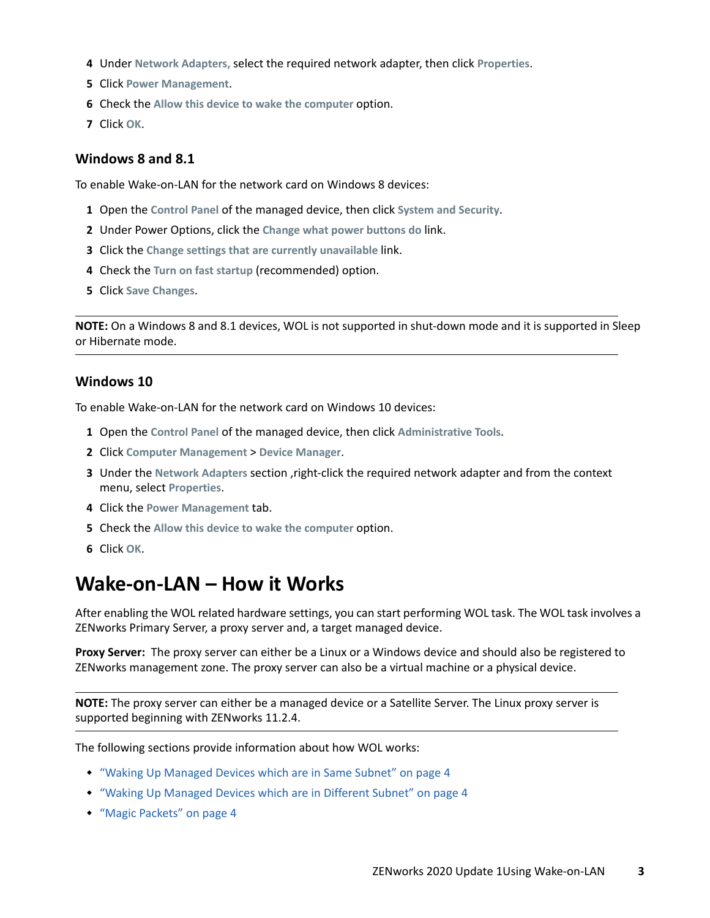- **4** Under **Network Adapters,** select the required network adapter, then click **Properties**.
- **5** Click **Power Management**.
- **6** Check the Allow this device to wake the computer option.
- **7** Click **OK**.

#### <span id="page-2-1"></span>**Windows 8 and 8.1**

To enable Wake-on-LAN for the network card on Windows 8 devices:

- **1** Open the **Control Panel** of the managed device, then click **System and Security**.
- **2** Under Power Options, click the **Change what power buttons do** link.
- **3** Click the **Change settings that are currently unavailable** link.
- **4** Check the **Turn on fast startup** (recommended) option.
- **5** Click **Save Changes**.

**NOTE:** On a Windows 8 and 8.1 devices, WOL is not supported in shut-down mode and it is supported in Sleep or Hibernate mode.

#### <span id="page-2-2"></span>**Windows 10**

To enable Wake-on-LAN for the network card on Windows 10 devices:

- **1** Open the **Control Panel** of the managed device, then click **Administrative Tools**.
- **2** Click **Computer Management** > **Device Manager**.
- **3** Under the **Network Adapters** section ,right-click the required network adapter and from the context menu, select **Properties**.
- **4** Click the **Power Management** tab.
- **5** Check the **Allow this device to wake the computer** option.
- **6** Click **OK**.

## <span id="page-2-0"></span>**Wake-on-LAN – How it Works**

After enabling the WOL related hardware settings, you can start performing WOL task. The WOL task involves a ZENworks Primary Server, a proxy server and, a target managed device.

**Proxy Server:** The proxy server can either be a Linux or a Windows device and should also be registered to ZENworks management zone. The proxy server can also be a virtual machine or a physical device.

**NOTE:** The proxy server can either be a managed device or a Satellite Server. The Linux proxy server is supported beginning with ZENworks 11.2.4.

The following sections provide information about how WOL works:

- ["Waking Up Managed Devices which are in Same Subnet" on page 4](#page-3-1)
- ["Waking Up Managed Devices which are in Different Subnet" on page 4](#page-3-2)
- ["Magic Packets" on page 4](#page-3-3)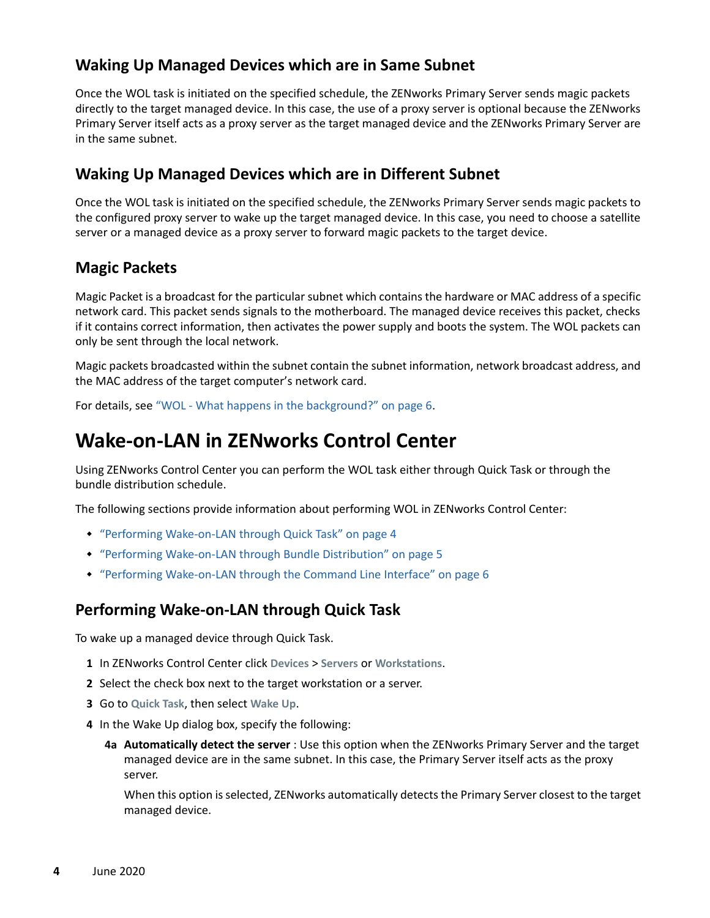#### <span id="page-3-1"></span>**Waking Up Managed Devices which are in Same Subnet**

Once the WOL task is initiated on the specified schedule, the ZENworks Primary Server sends magic packets directly to the target managed device. In this case, the use of a proxy server is optional because the ZENworks Primary Server itself acts as a proxy server as the target managed device and the ZENworks Primary Server are in the same subnet.

#### <span id="page-3-2"></span>**Waking Up Managed Devices which are in Different Subnet**

Once the WOL task is initiated on the specified schedule, the ZENworks Primary Server sends magic packets to the configured proxy server to wake up the target managed device. In this case, you need to choose a satellite server or a managed device as a proxy server to forward magic packets to the target device.

#### <span id="page-3-3"></span>**Magic Packets**

Magic Packet is a broadcast for the particular subnet which contains the hardware or MAC address of a specific network card. This packet sends signals to the motherboard. The managed device receives this packet, checks if it contains correct information, then activates the power supply and boots the system. The WOL packets can only be sent through the local network.

Magic packets broadcasted within the subnet contain the subnet information, network broadcast address, and the MAC address of the target computer's network card.

For details, see ["WOL - What happens in the background?" on page 6.](#page-5-2)

## <span id="page-3-0"></span>**Wake-on-LAN in ZENworks Control Center**

Using ZENworks Control Center you can perform the WOL task either through Quick Task or through the bundle distribution schedule.

The following sections provide information about performing WOL in ZENworks Control Center:

- ["Performing Wake-on-LAN through Quick Task" on page 4](#page-3-4)
- ["Performing Wake-on-LAN through Bundle Distribution" on page 5](#page-4-0)
- ["Performing Wake-on-LAN through the Command Line Interface" on page 6](#page-5-1)

#### <span id="page-3-4"></span>**Performing Wake-on-LAN through Quick Task**

To wake up a managed device through Quick Task.

- **1** In ZENworks Control Center click **Devices** > **Servers** or **Workstations**.
- **2** Select the check box next to the target workstation or a server.
- **3** Go to **Quick Task**, then select **Wake Up**.
- <span id="page-3-5"></span>**4** In the Wake Up dialog box, specify the following:
	- **4a Automatically detect the server** : Use this option when the ZENworks Primary Server and the target managed device are in the same subnet. In this case, the Primary Server itself acts as the proxy server.

When this option is selected, ZENworks automatically detects the Primary Server closest to the target managed device.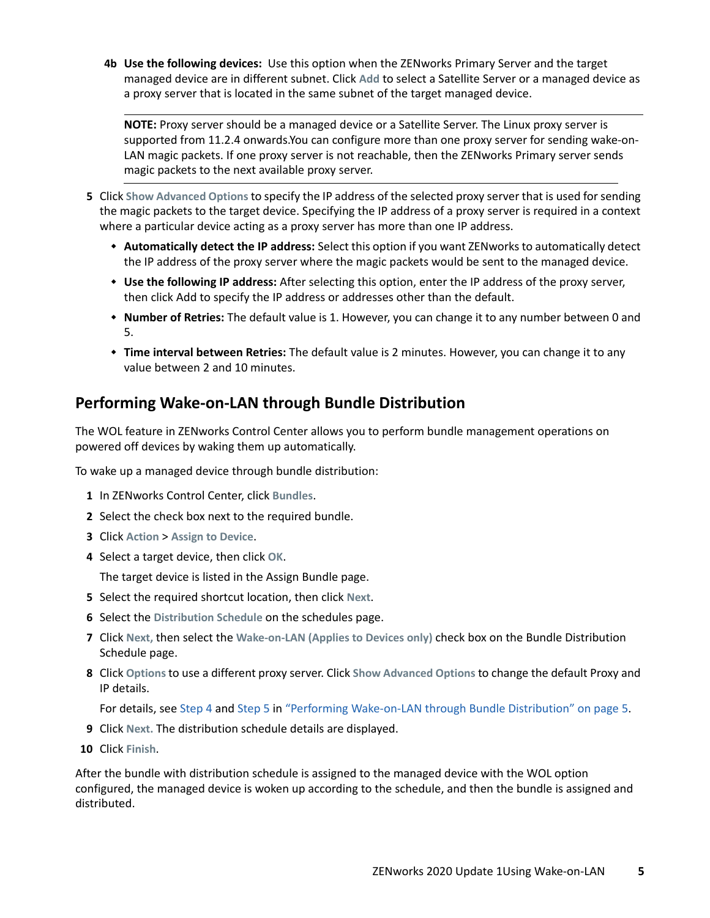**4b Use the following devices:** Use this option when the ZENworks Primary Server and the target managed device are in different subnet. Click **Add** to select a Satellite Server or a managed device as a proxy server that is located in the same subnet of the target managed device.

**NOTE:** Proxy server should be a managed device or a Satellite Server. The Linux proxy server is supported from 11.2.4 onwards.You can configure more than one proxy server for sending wake-on-LAN magic packets. If one proxy server is not reachable, then the ZENworks Primary server sends magic packets to the next available proxy server.

- <span id="page-4-1"></span>**5** Click **Show Advanced Options** to specify the IP address of the selected proxy server that is used for sending the magic packets to the target device. Specifying the IP address of a proxy server is required in a context where a particular device acting as a proxy server has more than one IP address.
	- **Automatically detect the IP address:** Select this option if you want ZENworks to automatically detect the IP address of the proxy server where the magic packets would be sent to the managed device.
	- **Use the following IP address:** After selecting this option, enter the IP address of the proxy server, then click Add to specify the IP address or addresses other than the default.
	- **Number of Retries:** The default value is 1. However, you can change it to any number between 0 and 5.
	- **Time interval between Retries:** The default value is 2 minutes. However, you can change it to any value between 2 and 10 minutes.

## <span id="page-4-0"></span>**Performing Wake-on-LAN through Bundle Distribution**

The WOL feature in ZENworks Control Center allows you to perform bundle management operations on powered off devices by waking them up automatically.

To wake up a managed device through bundle distribution:

- **1** In ZENworks Control Center, click **Bundles**.
- **2** Select the check box next to the required bundle.
- **3** Click **Action** > **Assign to Device**.
- **4** Select a target device, then click **OK**.

The target device is listed in the Assign Bundle page.

- **5** Select the required shortcut location, then click **Next**.
- **6** Select the **Distribution Schedule** on the schedules page.
- **7** Click **Next,** then select the **Wake-on-LAN (Applies to Devices only)** check box on the Bundle Distribution Schedule page.
- **8** Click **Options** to use a different proxy server. Click **Show Advanced Options** to change the default Proxy and IP details.

For details, see [Step 4](#page-3-5) and [Step 5](#page-4-1) in ["Performing Wake-on-LAN through Bundle Distribution" on page 5.](#page-4-0)

- **9** Click **Next.** The distribution schedule details are displayed.
- **10** Click **Finish**.

After the bundle with distribution schedule is assigned to the managed device with the WOL option configured, the managed device is woken up according to the schedule, and then the bundle is assigned and distributed.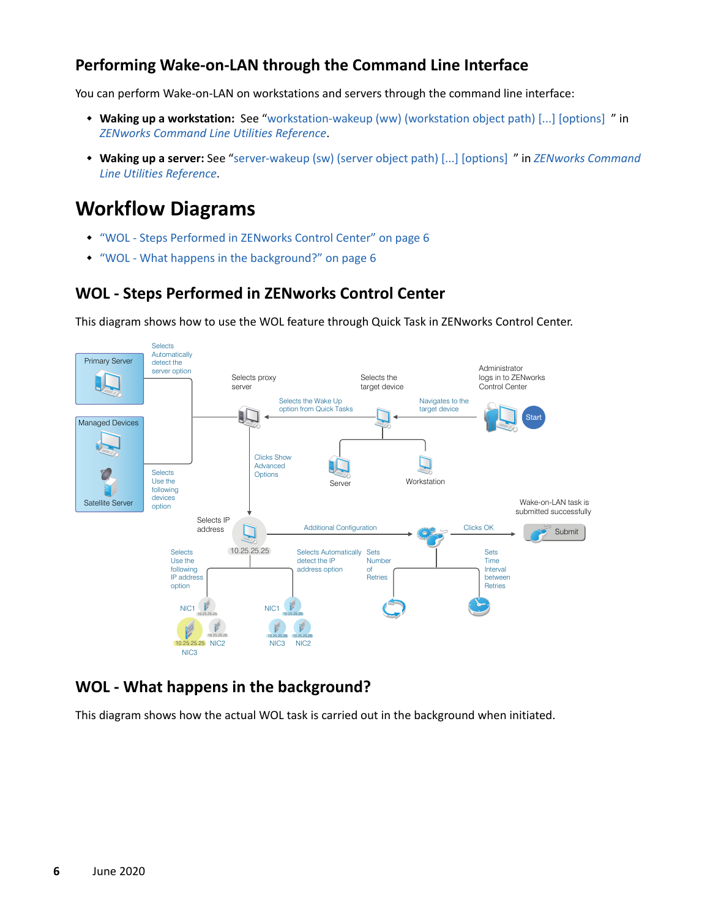## <span id="page-5-1"></span>**Performing Wake-on-LAN through the Command Line Interface**

You can perform Wake-on-LAN on workstations and servers through the command line interface:

- **Waking up a workstation:** See "[workstation-wakeup \(ww\) \(workstation object path\) \[...\] \[options\]](https://www.novell.com/documentation/zenworks-2020/pdfdoc/zen_utils/zen_utils.pdf#b9b81bd) " in *[ZENworks Command Line Utilities Reference](https://www.novell.com/documentation/zenworks-2020/pdfdoc/zen_utils/zen_utils.pdf#bookinfo)*.
- **Waking up a server:** See "[server-wakeup \(sw\) \(server object path\) \[...\] \[options\] "](https://www.novell.com/documentation/zenworks-2020/pdfdoc/zen_utils/zen_utils.pdf#b9b7xwx) in *[ZENworks Command](https://www.novell.com/documentation/zenworks-2020/pdfdoc/zen_utils/zen_utils.pdf#bookinfo)  [Line Utilities Reference](https://www.novell.com/documentation/zenworks-2020/pdfdoc/zen_utils/zen_utils.pdf#bookinfo)*.

# <span id="page-5-0"></span>**Workflow Diagrams**

- ["WOL Steps Performed in ZENworks Control Center" on page 6](#page-5-3)
- ["WOL What happens in the background?" on page 6](#page-5-2)

## <span id="page-5-3"></span>**WOL - Steps Performed in ZENworks Control Center**

This diagram shows how to use the WOL feature through Quick Task in ZENworks Control Center.



## <span id="page-5-2"></span>**WOL - What happens in the background?**

This diagram shows how the actual WOL task is carried out in the background when initiated.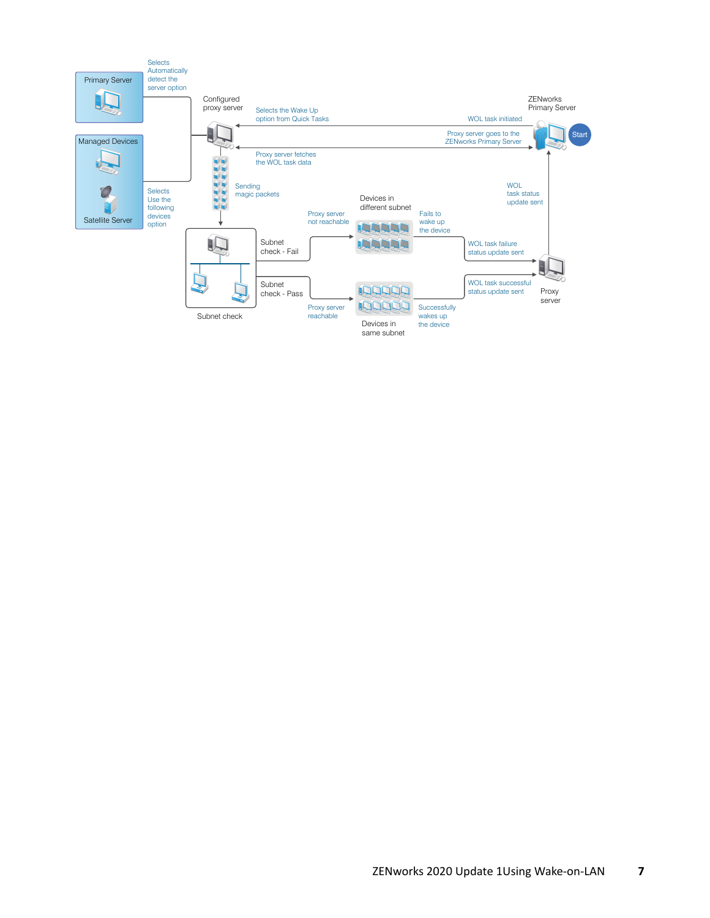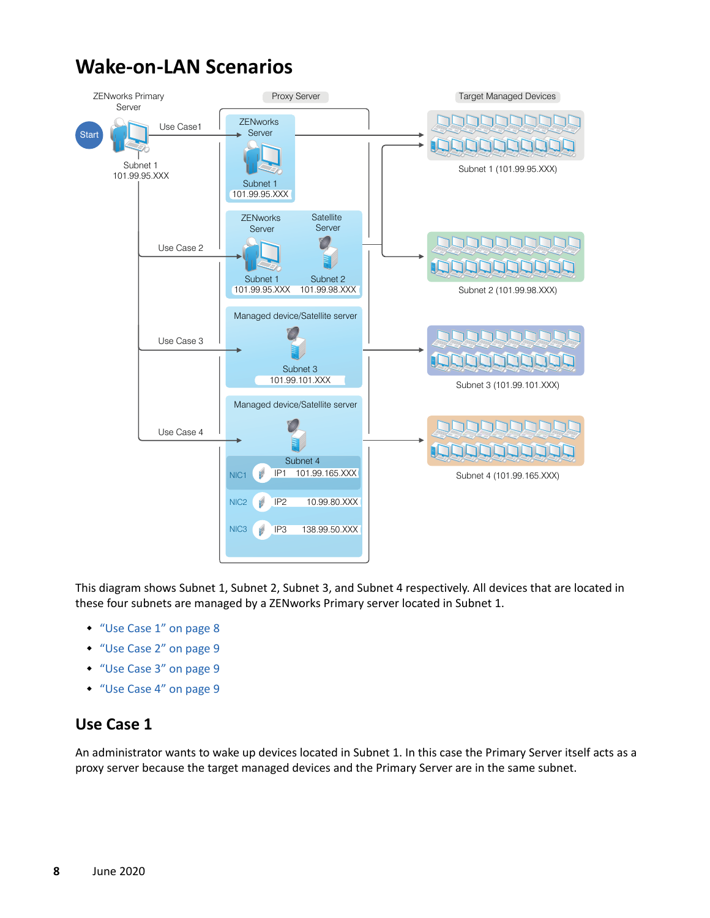# <span id="page-7-0"></span>**Wake-on-LAN Scenarios**



This diagram shows Subnet 1, Subnet 2, Subnet 3, and Subnet 4 respectively. All devices that are located in these four subnets are managed by a ZENworks Primary server located in Subnet 1.

- ["Use Case 1" on page 8](#page-7-1)
- ["Use Case 2" on page 9](#page-8-1)
- ["Use Case 3" on page 9](#page-8-2)
- ["Use Case 4" on page 9](#page-8-3)

## <span id="page-7-1"></span>**Use Case 1**

An administrator wants to wake up devices located in Subnet 1. In this case the Primary Server itself acts as a proxy server because the target managed devices and the Primary Server are in the same subnet.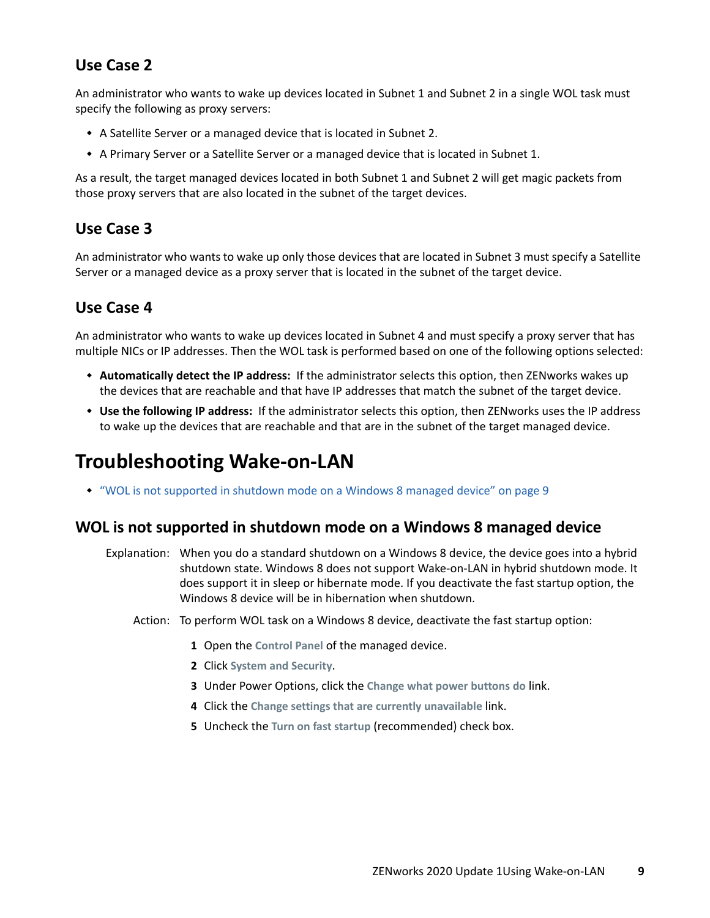## <span id="page-8-1"></span>**Use Case 2**

An administrator who wants to wake up devices located in Subnet 1 and Subnet 2 in a single WOL task must specify the following as proxy servers:

- A Satellite Server or a managed device that is located in Subnet 2.
- A Primary Server or a Satellite Server or a managed device that is located in Subnet 1.

As a result, the target managed devices located in both Subnet 1 and Subnet 2 will get magic packets from those proxy servers that are also located in the subnet of the target devices.

## <span id="page-8-2"></span>**Use Case 3**

An administrator who wants to wake up only those devices that are located in Subnet 3 must specify a Satellite Server or a managed device as a proxy server that is located in the subnet of the target device.

## <span id="page-8-3"></span>**Use Case 4**

An administrator who wants to wake up devices located in Subnet 4 and must specify a proxy server that has multiple NICs or IP addresses. Then the WOL task is performed based on one of the following options selected:

- **Automatically detect the IP address:** If the administrator selects this option, then ZENworks wakes up the devices that are reachable and that have IP addresses that match the subnet of the target device.
- **Use the following IP address:** If the administrator selects this option, then ZENworks uses the IP address to wake up the devices that are reachable and that are in the subnet of the target managed device.

# <span id="page-8-0"></span>**Troubleshooting Wake-on-LAN**

["WOL is not supported in shutdown mode on a Windows 8 managed device" on page 9](#page-8-4)

#### <span id="page-8-4"></span>**WOL is not supported in shutdown mode on a Windows 8 managed device**

- Explanation: When you do a standard shutdown on a Windows 8 device, the device goes into a hybrid shutdown state. Windows 8 does not support Wake-on-LAN in hybrid shutdown mode. It does support it in sleep or hibernate mode. If you deactivate the fast startup option, the Windows 8 device will be in hibernation when shutdown.
	- Action: To perform WOL task on a Windows 8 device, deactivate the fast startup option:
		- **1** Open the **Control Panel** of the managed device.
		- **2** Click **System and Security**.
		- **3** Under Power Options, click the **Change what power buttons do** link.
		- **4** Click the **Change settings that are currently unavailable** link.
		- **5** Uncheck the **Turn on fast startup** (recommended) check box.